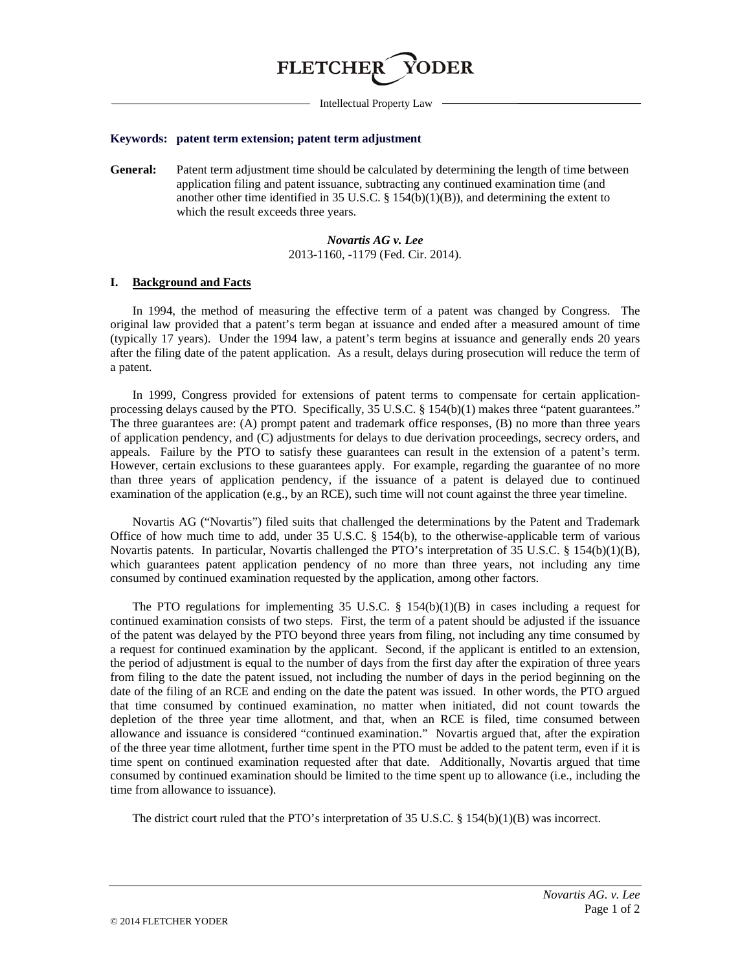

Intellectual Property Law

#### **Keywords: patent term extension; patent term adjustment**

**General:** Patent term adjustment time should be calculated by determining the length of time between application filing and patent issuance, subtracting any continued examination time (and another other time identified in 35 U.S.C. § 154(b)(1)(B)), and determining the extent to which the result exceeds three years.

# *Novartis AG v. Lee* 2013-1160, -1179 (Fed. Cir. 2014).

### **I. Background and Facts**

In 1994, the method of measuring the effective term of a patent was changed by Congress. The original law provided that a patent's term began at issuance and ended after a measured amount of time (typically 17 years). Under the 1994 law, a patent's term begins at issuance and generally ends 20 years after the filing date of the patent application. As a result, delays during prosecution will reduce the term of a patent.

In 1999, Congress provided for extensions of patent terms to compensate for certain applicationprocessing delays caused by the PTO. Specifically, 35 U.S.C. § 154(b)(1) makes three "patent guarantees." The three guarantees are: (A) prompt patent and trademark office responses, (B) no more than three years of application pendency, and (C) adjustments for delays to due derivation proceedings, secrecy orders, and appeals. Failure by the PTO to satisfy these guarantees can result in the extension of a patent's term. However, certain exclusions to these guarantees apply. For example, regarding the guarantee of no more than three years of application pendency, if the issuance of a patent is delayed due to continued examination of the application (e.g., by an RCE), such time will not count against the three year timeline.

Novartis AG ("Novartis") filed suits that challenged the determinations by the Patent and Trademark Office of how much time to add, under 35 U.S.C. § 154(b), to the otherwise-applicable term of various Novartis patents. In particular, Novartis challenged the PTO's interpretation of 35 U.S.C. § 154(b)(1)(B), which guarantees patent application pendency of no more than three years, not including any time consumed by continued examination requested by the application, among other factors.

The PTO regulations for implementing 35 U.S.C. § 154(b)(1)(B) in cases including a request for continued examination consists of two steps. First, the term of a patent should be adjusted if the issuance of the patent was delayed by the PTO beyond three years from filing, not including any time consumed by a request for continued examination by the applicant. Second, if the applicant is entitled to an extension, the period of adjustment is equal to the number of days from the first day after the expiration of three years from filing to the date the patent issued, not including the number of days in the period beginning on the date of the filing of an RCE and ending on the date the patent was issued. In other words, the PTO argued that time consumed by continued examination, no matter when initiated, did not count towards the depletion of the three year time allotment, and that, when an RCE is filed, time consumed between allowance and issuance is considered "continued examination." Novartis argued that, after the expiration of the three year time allotment, further time spent in the PTO must be added to the patent term, even if it is time spent on continued examination requested after that date. Additionally, Novartis argued that time consumed by continued examination should be limited to the time spent up to allowance (i.e., including the time from allowance to issuance).

The district court ruled that the PTO's interpretation of 35 U.S.C. § 154(b)(1)(B) was incorrect.